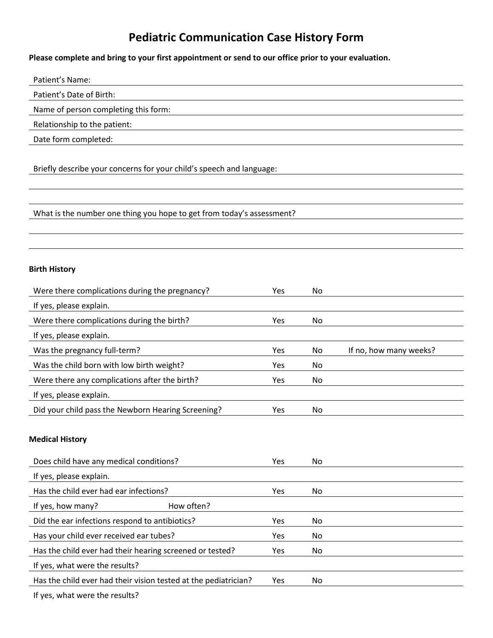## **Pediatric Communication Case History Form**

## **Please complete and bring to your first appointment or send to our office prior to your evaluation.**

| Patient's Name:                                                       |            |    |                        |  |  |  |
|-----------------------------------------------------------------------|------------|----|------------------------|--|--|--|
| Patient's Date of Birth:                                              |            |    |                        |  |  |  |
| Name of person completing this form:                                  |            |    |                        |  |  |  |
| Relationship to the patient:                                          |            |    |                        |  |  |  |
| Date form completed:                                                  |            |    |                        |  |  |  |
| Briefly describe your concerns for your child's speech and language:  |            |    |                        |  |  |  |
| What is the number one thing you hope to get from today's assessment? |            |    |                        |  |  |  |
| <b>Birth History</b>                                                  |            |    |                        |  |  |  |
| Were there complications during the pregnancy?                        | <b>Yes</b> | No |                        |  |  |  |
| If yes, please explain.                                               |            |    |                        |  |  |  |
| Were there complications during the birth?                            | Yes        | No |                        |  |  |  |
| If yes, please explain.                                               |            |    |                        |  |  |  |
| Was the pregnancy full-term?                                          | Yes        | No | If no, how many weeks? |  |  |  |
| Was the child born with low birth weight?                             | Yes        | No |                        |  |  |  |
|                                                                       |            |    |                        |  |  |  |
| Were there any complications after the birth?                         | Yes        | No |                        |  |  |  |
| If yes, please explain.                                               |            |    |                        |  |  |  |
| Did your child pass the Newborn Hearing Screening?                    | Yes        | No |                        |  |  |  |
| <b>Medical History</b>                                                |            |    |                        |  |  |  |
| Does child have any medical conditions?                               | Yes        | No |                        |  |  |  |
| If yes, please explain.                                               |            |    |                        |  |  |  |
| Has the child ever had ear infections?                                | Yes        | No |                        |  |  |  |
| How often?<br>If yes, how many?                                       |            |    |                        |  |  |  |
| Did the ear infections respond to antibiotics?                        | Yes        | No |                        |  |  |  |
| Has your child ever received ear tubes?                               | Yes        | No |                        |  |  |  |
| Has the child ever had their hearing screened or tested?              | Yes        | No |                        |  |  |  |
| If yes, what were the results?                                        |            |    |                        |  |  |  |
| Has the child ever had their vision tested at the pediatrician?       | Yes        | No |                        |  |  |  |